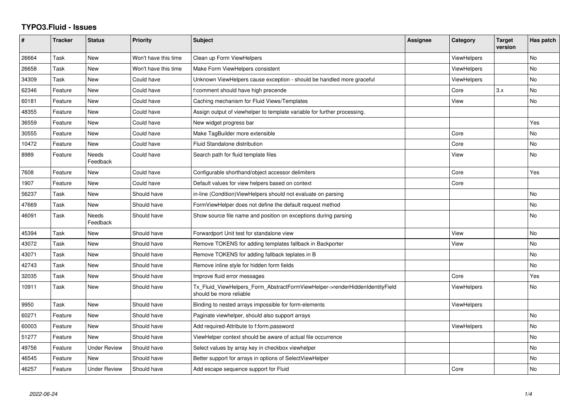## **TYPO3.Fluid - Issues**

| #     | <b>Tracker</b> | <b>Status</b>       | <b>Priority</b>      | <b>Subject</b>                                                                                         | <b>Assignee</b> | Category           | <b>Target</b><br>version | Has patch |
|-------|----------------|---------------------|----------------------|--------------------------------------------------------------------------------------------------------|-----------------|--------------------|--------------------------|-----------|
| 26664 | Task           | <b>New</b>          | Won't have this time | Clean up Form ViewHelpers                                                                              |                 | <b>ViewHelpers</b> |                          | <b>No</b> |
| 26658 | Task           | <b>New</b>          | Won't have this time | Make Form ViewHelpers consistent                                                                       |                 | <b>ViewHelpers</b> |                          | <b>No</b> |
| 34309 | Task           | <b>New</b>          | Could have           | Unknown ViewHelpers cause exception - should be handled more graceful                                  |                 | <b>ViewHelpers</b> |                          | No        |
| 62346 | Feature        | <b>New</b>          | Could have           | f:comment should have high precende                                                                    |                 | Core               | 3.x                      | <b>No</b> |
| 60181 | Feature        | <b>New</b>          | Could have           | Caching mechanism for Fluid Views/Templates                                                            |                 | View               |                          | <b>No</b> |
| 48355 | Feature        | New                 | Could have           | Assign output of viewhelper to template variable for further processing.                               |                 |                    |                          |           |
| 36559 | Feature        | <b>New</b>          | Could have           | New widget progress bar                                                                                |                 |                    |                          | Yes       |
| 30555 | Feature        | <b>New</b>          | Could have           | Make TagBuilder more extensible                                                                        |                 | Core               |                          | <b>No</b> |
| 10472 | Feature        | New                 | Could have           | Fluid Standalone distribution                                                                          |                 | Core               |                          | <b>No</b> |
| 8989  | Feature        | Needs<br>Feedback   | Could have           | Search path for fluid template files                                                                   |                 | View               |                          | No        |
| 7608  | Feature        | New                 | Could have           | Configurable shorthand/object accessor delimiters                                                      |                 | Core               |                          | Yes       |
| 1907  | Feature        | New                 | Could have           | Default values for view helpers based on context                                                       |                 | Core               |                          |           |
| 56237 | Task           | <b>New</b>          | Should have          | in-line (Condition) View Helpers should not evaluate on parsing                                        |                 |                    |                          | <b>No</b> |
| 47669 | Task           | <b>New</b>          | Should have          | FormViewHelper does not define the default request method                                              |                 |                    |                          | No.       |
| 46091 | Task           | Needs<br>Feedback   | Should have          | Show source file name and position on exceptions during parsing                                        |                 |                    |                          | No        |
| 45394 | Task           | <b>New</b>          | Should have          | Forwardport Unit test for standalone view                                                              |                 | View               |                          | <b>No</b> |
| 43072 | Task           | <b>New</b>          | Should have          | Remove TOKENS for adding templates fallback in Backporter                                              |                 | View               |                          | No        |
| 43071 | Task           | <b>New</b>          | Should have          | Remove TOKENS for adding fallback teplates in B                                                        |                 |                    |                          | No        |
| 42743 | Task           | <b>New</b>          | Should have          | Remove inline style for hidden form fields                                                             |                 |                    |                          | <b>No</b> |
| 32035 | Task           | <b>New</b>          | Should have          | Improve fluid error messages                                                                           |                 | Core               |                          | Yes       |
| 10911 | Task           | New                 | Should have          | Tx_Fluid_ViewHelpers_Form_AbstractFormViewHelper->renderHiddenIdentityField<br>should be more reliable |                 | <b>ViewHelpers</b> |                          | No        |
| 9950  | Task           | New                 | Should have          | Binding to nested arrays impossible for form-elements                                                  |                 | <b>ViewHelpers</b> |                          |           |
| 60271 | Feature        | New                 | Should have          | Paginate viewhelper, should also support arrays                                                        |                 |                    |                          | No        |
| 60003 | Feature        | New                 | Should have          | Add required-Attribute to f:form.password                                                              |                 | ViewHelpers        |                          | <b>No</b> |
| 51277 | Feature        | <b>New</b>          | Should have          | ViewHelper context should be aware of actual file occurrence                                           |                 |                    |                          | <b>No</b> |
| 49756 | Feature        | <b>Under Review</b> | Should have          | Select values by array key in checkbox viewhelper                                                      |                 |                    |                          | No        |
| 46545 | Feature        | <b>New</b>          | Should have          | Better support for arrays in options of SelectViewHelper                                               |                 |                    |                          | No        |
| 46257 | Feature        | <b>Under Review</b> | Should have          | Add escape sequence support for Fluid                                                                  |                 | Core               |                          | No        |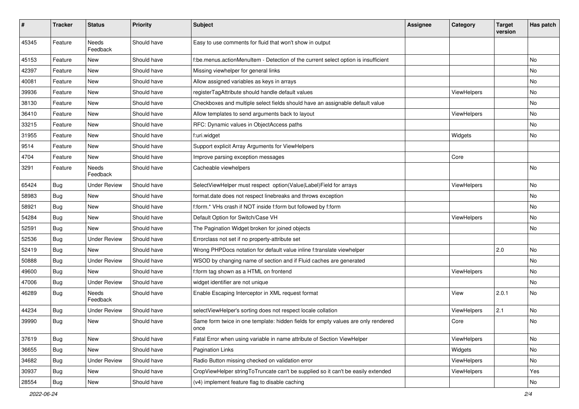| #     | <b>Tracker</b> | <b>Status</b>            | <b>Priority</b> | Subject                                                                                   | <b>Assignee</b> | Category    | <b>Target</b><br>version | Has patch |
|-------|----------------|--------------------------|-----------------|-------------------------------------------------------------------------------------------|-----------------|-------------|--------------------------|-----------|
| 45345 | Feature        | <b>Needs</b><br>Feedback | Should have     | Easy to use comments for fluid that won't show in output                                  |                 |             |                          |           |
| 45153 | Feature        | New                      | Should have     | f:be.menus.actionMenuItem - Detection of the current select option is insufficient        |                 |             |                          | No        |
| 42397 | Feature        | New                      | Should have     | Missing viewhelper for general links                                                      |                 |             |                          | <b>No</b> |
| 40081 | Feature        | New                      | Should have     | Allow assigned variables as keys in arrays                                                |                 |             |                          | No        |
| 39936 | Feature        | <b>New</b>               | Should have     | registerTagAttribute should handle default values                                         |                 | ViewHelpers |                          | No        |
| 38130 | Feature        | New                      | Should have     | Checkboxes and multiple select fields should have an assignable default value             |                 |             |                          | No        |
| 36410 | Feature        | New                      | Should have     | Allow templates to send arguments back to layout                                          |                 | ViewHelpers |                          | No        |
| 33215 | Feature        | New                      | Should have     | RFC: Dynamic values in ObjectAccess paths                                                 |                 |             |                          | No        |
| 31955 | Feature        | <b>New</b>               | Should have     | f:uri.widget                                                                              |                 | Widgets     |                          | No        |
| 9514  | Feature        | New                      | Should have     | Support explicit Array Arguments for ViewHelpers                                          |                 |             |                          |           |
| 4704  | Feature        | New                      | Should have     | Improve parsing exception messages                                                        |                 | Core        |                          |           |
| 3291  | Feature        | Needs<br>Feedback        | Should have     | Cacheable viewhelpers                                                                     |                 |             |                          | <b>No</b> |
| 65424 | Bug            | <b>Under Review</b>      | Should have     | SelectViewHelper must respect option(Value Label)Field for arrays                         |                 | ViewHelpers |                          | No        |
| 58983 | Bug            | New                      | Should have     | format.date does not respect linebreaks and throws exception                              |                 |             |                          | No        |
| 58921 | Bug            | New                      | Should have     | f:form.* VHs crash if NOT inside f:form but followed by f:form                            |                 |             |                          | No        |
| 54284 | Bug            | New                      | Should have     | Default Option for Switch/Case VH                                                         |                 | ViewHelpers |                          | No        |
| 52591 | Bug            | New                      | Should have     | The Pagination Widget broken for joined objects                                           |                 |             |                          | No        |
| 52536 | Bug            | <b>Under Review</b>      | Should have     | Errorclass not set if no property-attribute set                                           |                 |             |                          |           |
| 52419 | Bug            | New                      | Should have     | Wrong PHPDocs notation for default value inline f:translate viewhelper                    |                 |             | 2.0                      | No        |
| 50888 | Bug            | <b>Under Review</b>      | Should have     | WSOD by changing name of section and if Fluid caches are generated                        |                 |             |                          | No        |
| 49600 | Bug            | New                      | Should have     | f:form tag shown as a HTML on frontend                                                    |                 | ViewHelpers |                          | No        |
| 47006 | Bug            | <b>Under Review</b>      | Should have     | widget identifier are not unique                                                          |                 |             |                          | No        |
| 46289 | Bug            | Needs<br>Feedback        | Should have     | Enable Escaping Interceptor in XML request format                                         |                 | View        | 2.0.1                    | No        |
| 44234 | Bug            | <b>Under Review</b>      | Should have     | selectViewHelper's sorting does not respect locale collation                              |                 | ViewHelpers | 2.1                      | <b>No</b> |
| 39990 | Bug            | New                      | Should have     | Same form twice in one template: hidden fields for empty values are only rendered<br>once |                 | Core        |                          | No        |
| 37619 | <b>Bug</b>     | New                      | Should have     | Fatal Error when using variable in name attribute of Section ViewHelper                   |                 | ViewHelpers |                          | No        |
| 36655 | <b>Bug</b>     | New                      | Should have     | Pagination Links                                                                          |                 | Widgets     |                          | No        |
| 34682 | <b>Bug</b>     | <b>Under Review</b>      | Should have     | Radio Button missing checked on validation error                                          |                 | ViewHelpers |                          | No        |
| 30937 | <b>Bug</b>     | New                      | Should have     | CropViewHelper stringToTruncate can't be supplied so it can't be easily extended          |                 | ViewHelpers |                          | Yes       |
| 28554 | Bug            | New                      | Should have     | (v4) implement feature flag to disable caching                                            |                 |             |                          | No        |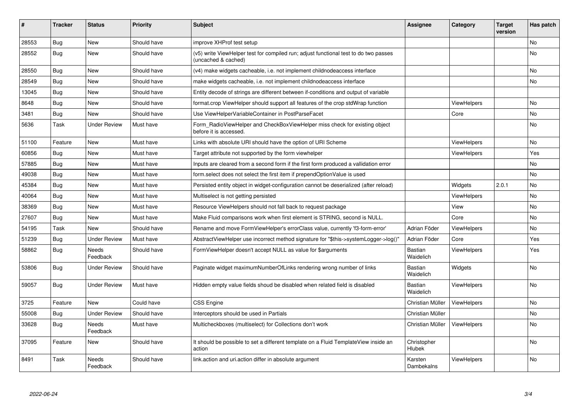| #     | <b>Tracker</b> | <b>Status</b>     | <b>Priority</b> | <b>Subject</b>                                                                                              | <b>Assignee</b>             | Category           | <b>Target</b><br>version | Has patch |
|-------|----------------|-------------------|-----------------|-------------------------------------------------------------------------------------------------------------|-----------------------------|--------------------|--------------------------|-----------|
| 28553 | Bug            | New               | Should have     | improve XHProf test setup                                                                                   |                             |                    |                          | <b>No</b> |
| 28552 | Bug            | New               | Should have     | (v5) write ViewHelper test for compiled run; adjust functional test to do two passes<br>(uncached & cached) |                             |                    |                          | No        |
| 28550 | Bug            | New               | Should have     | (v4) make widgets cacheable, i.e. not implement childnodeaccess interface                                   |                             |                    |                          | No        |
| 28549 | Bug            | New               | Should have     | make widgets cacheable, i.e. not implement childnodeaccess interface                                        |                             |                    |                          | No        |
| 13045 | Bug            | New               | Should have     | Entity decode of strings are different between if-conditions and output of variable                         |                             |                    |                          |           |
| 8648  | Bug            | <b>New</b>        | Should have     | format.crop ViewHelper should support all features of the crop stdWrap function                             |                             | <b>ViewHelpers</b> |                          | No        |
| 3481  | Bug            | New               | Should have     | Use ViewHelperVariableContainer in PostParseFacet                                                           |                             | Core               |                          | <b>No</b> |
| 5636  | Task           | Under Review      | Must have       | Form_RadioViewHelper and CheckBoxViewHelper miss check for existing object<br>before it is accessed.        |                             |                    |                          | No        |
| 51100 | Feature        | New               | Must have       | Links with absolute URI should have the option of URI Scheme                                                |                             | <b>ViewHelpers</b> |                          | <b>No</b> |
| 60856 | <b>Bug</b>     | New               | Must have       | Target attribute not supported by the form viewhelper                                                       |                             | ViewHelpers        |                          | Yes       |
| 57885 | Bug            | New               | Must have       | Inputs are cleared from a second form if the first form produced a vallidation error                        |                             |                    |                          | No        |
| 49038 | Bug            | New               | Must have       | form.select does not select the first item if prependOptionValue is used                                    |                             |                    |                          | No        |
| 45384 | Bug            | New               | Must have       | Persisted entity object in widget-configuration cannot be deserialized (after reload)                       |                             | Widgets            | 2.0.1                    | No        |
| 40064 | <b>Bug</b>     | New               | Must have       | Multiselect is not getting persisted                                                                        |                             | ViewHelpers        |                          | <b>No</b> |
| 38369 | Bug            | <b>New</b>        | Must have       | Resource ViewHelpers should not fall back to request package                                                |                             | View               |                          | <b>No</b> |
| 27607 | Bug            | New               | Must have       | Make Fluid comparisons work when first element is STRING, second is NULL.                                   |                             | Core               |                          | <b>No</b> |
| 54195 | Task           | New               | Should have     | Rename and move FormViewHelper's errorClass value, currently 'f3-form-error'                                | Adrian Föder                | <b>ViewHelpers</b> |                          | No        |
| 51239 | Bug            | Under Review      | Must have       | AbstractViewHelper use incorrect method signature for "\$this->systemLogger->log()"                         | Adrian Föder                | Core               |                          | Yes       |
| 58862 | Bug            | Needs<br>Feedback | Should have     | FormViewHelper doesn't accept NULL as value for \$arguments                                                 | <b>Bastian</b><br>Waidelich | <b>ViewHelpers</b> |                          | Yes       |
| 53806 | Bug            | Under Review      | Should have     | Paginate widget maximumNumberOfLinks rendering wrong number of links                                        | <b>Bastian</b><br>Waidelich | Widgets            |                          | <b>No</b> |
| 59057 | Bug            | Under Review      | Must have       | Hidden empty value fields shoud be disabled when related field is disabled                                  | <b>Bastian</b><br>Waidelich | <b>ViewHelpers</b> |                          | <b>No</b> |
| 3725  | Feature        | New               | Could have      | CSS Engine                                                                                                  | Christian Müller            | ViewHelpers        |                          | <b>No</b> |
| 55008 | Bug            | Under Review      | Should have     | Interceptors should be used in Partials                                                                     | Christian Müller            |                    |                          | No        |
| 33628 | Bug            | Needs<br>Feedback | Must have       | Multicheckboxes (multiselect) for Collections don't work                                                    | Christian Müller            | <b>ViewHelpers</b> |                          | No        |
| 37095 | Feature        | New               | Should have     | It should be possible to set a different template on a Fluid TemplateView inside an<br>action               | Christopher<br>Hlubek       |                    |                          | No        |
| 8491  | Task           | Needs<br>Feedback | Should have     | link.action and uri.action differ in absolute argument                                                      | Karsten<br>Dambekalns       | <b>ViewHelpers</b> |                          | No        |